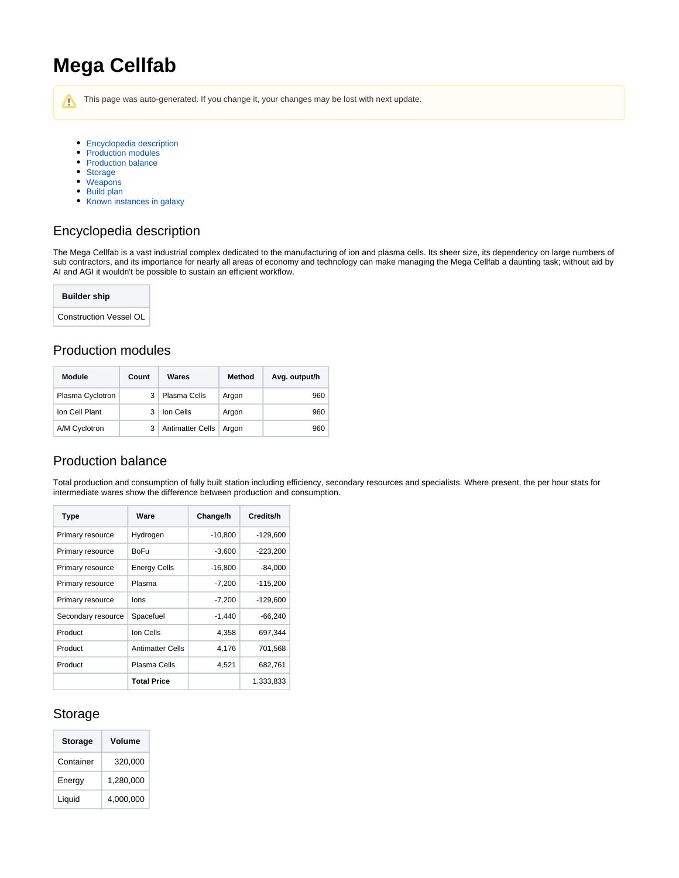# **Mega Cellfab**

Λ This page was auto-generated. If you change it, your changes may be lost with next update.

- [Encyclopedia description](#page-0-0)
- [Production modules](#page-0-1)
- [Production balance](#page-0-2)
- [Storage](#page-0-3)
- [Weapons](#page-0-4)
- [Build plan](#page-1-0)
- [Known instances in galaxy](#page-1-1)

## <span id="page-0-0"></span>Encyclopedia description

The Mega Cellfab is a vast industrial complex dedicated to the manufacturing of ion and plasma cells. Its sheer size, its dependency on large numbers of sub contractors, and its importance for nearly all areas of economy and technology can make managing the Mega Cellfab a daunting task; without aid by AI and AGI it wouldn't be possible to sustain an efficient workflow.

**Builder ship**

Construction Vessel OL

#### <span id="page-0-1"></span>Production modules

| Module           | Count | Wares                   | Method | Avg. output/h |
|------------------|-------|-------------------------|--------|---------------|
| Plasma Cyclotron |       | Plasma Cells            | Argon  | 960           |
| Ion Cell Plant   |       | Ion Cells               | Argon  | 960           |
| A/M Cyclotron    |       | <b>Antimatter Cells</b> | Araon  | 960           |

#### <span id="page-0-2"></span>Production balance

Total production and consumption of fully built station including efficiency, secondary resources and specialists. Where present, the per hour stats for intermediate wares show the difference between production and consumption.

| Type               | Ware                    | Change/h  | Credits/h  |
|--------------------|-------------------------|-----------|------------|
| Primary resource   | Hydrogen                | $-10,800$ | $-129,600$ |
| Primary resource   | BoFu                    | $-3,600$  | $-223,200$ |
| Primary resource   | <b>Energy Cells</b>     | $-16,800$ | $-84,000$  |
| Primary resource   | Plasma                  | $-7,200$  | $-115,200$ |
| Primary resource   | lons                    | $-7,200$  | $-129,600$ |
| Secondary resource | Spacefuel               | $-1,440$  | $-66.240$  |
| Product            | Ion Cells               | 4,358     | 697,344    |
| Product            | <b>Antimatter Cells</b> | 4,176     | 701,568    |
| Product            | Plasma Cells            | 4,521     | 682,761    |
|                    | <b>Total Price</b>      |           | 1,333,833  |

### <span id="page-0-3"></span>Storage

<span id="page-0-4"></span>

| <b>Storage</b> | Volume    |
|----------------|-----------|
| Container      | 320.000   |
| Energy         | 1.280.000 |
| Liquid         | 4,000,000 |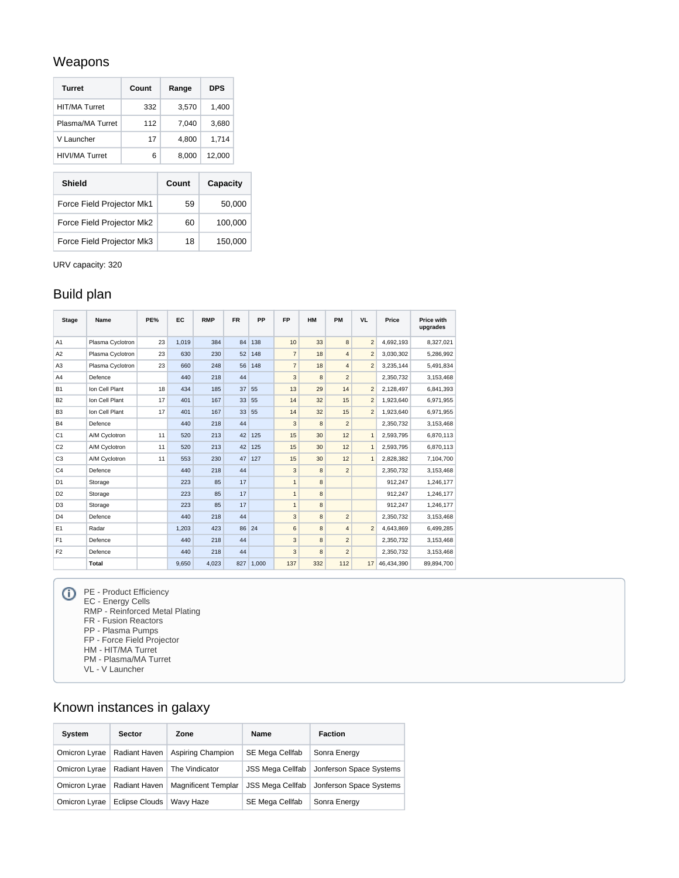## Weapons

| Turret                | Count | Range | <b>DPS</b> |
|-----------------------|-------|-------|------------|
| HIT/MA Turret         | 332   | 3,570 | 1,400      |
| Plasma/MA Turret      | 112   | 7.040 | 3.680      |
| V Launcher            | 17    | 4,800 | 1.714      |
| <b>HIVI/MA Turret</b> | 6     | 8,000 | 12.000     |

| Shield                    | Count | Capacity |
|---------------------------|-------|----------|
| Force Field Projector Mk1 | 59    | 50,000   |
| Force Field Projector Mk2 | 60    | 100,000  |
| Force Field Projector Mk3 | 18    | 150,000  |

URV capacity: 320

## <span id="page-1-0"></span>Build plan

| <b>Stage</b>   | Name             | PE% | EC    | <b>RMP</b> | <b>FR</b>       | PP     | <b>FP</b>      | <b>HM</b> | PM             | <b>VL</b>      | Price      | <b>Price with</b><br>upgrades |
|----------------|------------------|-----|-------|------------|-----------------|--------|----------------|-----------|----------------|----------------|------------|-------------------------------|
| A1             | Plasma Cyclotron | 23  | 1.019 | 384        |                 | 84 138 | 10             | 33        | 8              | $\overline{2}$ | 4,692,193  | 8,327,021                     |
| A2             | Plasma Cyclotron | 23  | 630   | 230        | 52              | 148    | $\overline{7}$ | 18        | $\overline{4}$ | $\overline{2}$ | 3,030,302  | 5,286,992                     |
| A <sub>3</sub> | Plasma Cyclotron | 23  | 660   | 248        | 56              | 148    | $\overline{7}$ | 18        | $\overline{4}$ | $\overline{2}$ | 3,235,144  | 5,491,834                     |
| A4             | Defence          |     | 440   | 218        | 44              |        | 3              | 8         | $\overline{2}$ |                | 2,350,732  | 3,153,468                     |
| <b>B1</b>      | Ion Cell Plant   | 18  | 434   | 185        | 37              | 55     | 13             | 29        | 14             | $\overline{2}$ | 2.128.497  | 6.841.393                     |
| <b>B2</b>      | Ion Cell Plant   | 17  | 401   | 167        | 33 <sup>1</sup> | 55     | 14             | 32        | 15             | $\overline{2}$ | 1,923,640  | 6,971,955                     |
| B <sub>3</sub> | Ion Cell Plant   | 17  | 401   | 167        | 33              | 55     | 14             | 32        | 15             | $\overline{2}$ | 1,923,640  | 6,971,955                     |
| <b>B4</b>      | Defence          |     | 440   | 218        | 44              |        | 3              | 8         | $\overline{2}$ |                | 2,350,732  | 3,153,468                     |
| C <sub>1</sub> | A/M Cyclotron    | 11  | 520   | 213        |                 | 42 125 | 15             | 30        | 12             | $\mathbf{1}$   | 2,593,795  | 6,870,113                     |
| C <sub>2</sub> | A/M Cyclotron    | 11  | 520   | 213        | 42              | 125    | 15             | 30        | 12             | $\mathbf{1}$   | 2.593.795  | 6.870.113                     |
| C <sub>3</sub> | A/M Cyclotron    | 11  | 553   | 230        | 47              | 127    | 15             | 30        | 12             | $\mathbf{1}$   | 2,828,382  | 7,104,700                     |
| C <sub>4</sub> | Defence          |     | 440   | 218        | 44              |        | 3              | 8         | $\overline{2}$ |                | 2,350,732  | 3,153,468                     |
| D <sub>1</sub> | Storage          |     | 223   | 85         | 17              |        | $\mathbf{1}$   | 8         |                |                | 912,247    | 1,246,177                     |
| D <sub>2</sub> | Storage          |     | 223   | 85         | 17              |        | $\mathbf{1}$   | 8         |                |                | 912.247    | 1,246,177                     |
| D <sub>3</sub> | Storage          |     | 223   | 85         | 17              |        | $\overline{1}$ | 8         |                |                | 912.247    | 1,246,177                     |
| D <sub>4</sub> | Defence          |     | 440   | 218        | 44              |        | 3              | 8         | $\overline{2}$ |                | 2,350,732  | 3,153,468                     |
| E <sub>1</sub> | Radar            |     | 1.203 | 423        |                 | 86 24  | 6              | 8         | $\overline{4}$ | $\overline{2}$ | 4.643.869  | 6.499.285                     |
| F <sub>1</sub> | Defence          |     | 440   | 218        | 44              |        | 3              | 8         | $\overline{2}$ |                | 2,350,732  | 3,153,468                     |
| F <sub>2</sub> | Defence          |     | 440   | 218        | 44              |        | 3              | 8         | $\overline{2}$ |                | 2,350,732  | 3,153,468                     |
|                | Total            |     | 9,650 | 4,023      | 827             | 1,000  | 137            | 332       | 112            | 17             | 46,434,390 | 89,894,700                    |

PE - Product Efficiency

EC - Energy Cells

RMP - Reinforced Metal Plating

- FR Fusion Reactors
- PP Plasma Pumps
- FP Force Field Projector
- HM HIT/MA Turret
- PM Plasma/MA Turret VL - V Launcher
- 

## <span id="page-1-1"></span>Known instances in galaxy

| System        | Sector         | Zone                       | Name                    | <b>Faction</b>          |  |  |
|---------------|----------------|----------------------------|-------------------------|-------------------------|--|--|
| Omicron Lyrae | Radiant Haven  | Aspiring Champion          | SE Mega Cellfab         | Sonra Energy            |  |  |
| Omicron Lyrae | Radiant Haven  | The Vindicator             | JSS Mega Cellfab        | Jonferson Space Systems |  |  |
| Omicron Lyrae | Radiant Haven  | <b>Magnificent Templar</b> | <b>JSS Mega Cellfab</b> | Jonferson Space Systems |  |  |
| Omicron Lyrae | Eclipse Clouds | Wavy Haze                  | <b>SE Mega Cellfab</b>  | Sonra Energy            |  |  |